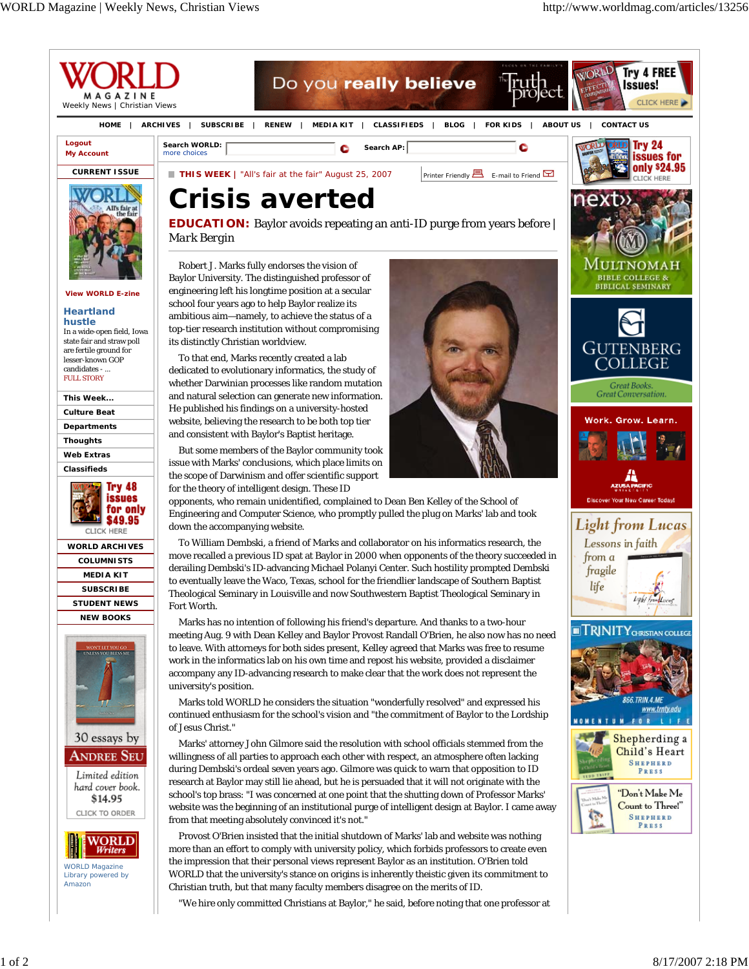